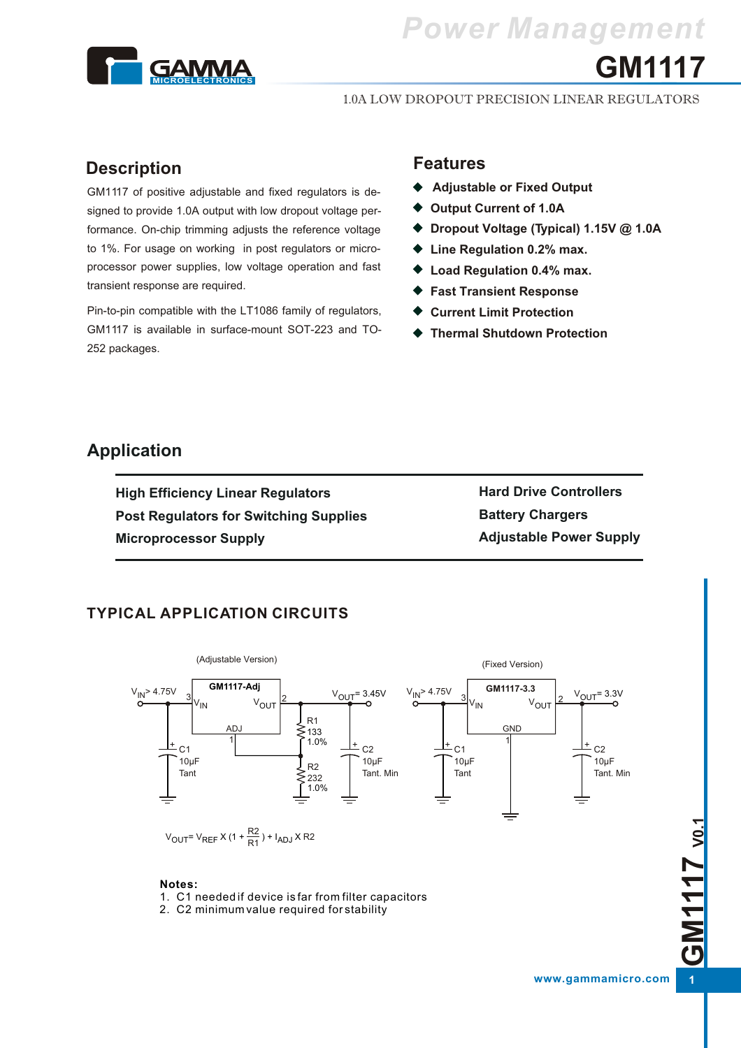

*Power Management*

**AICS GM1117**

1.0A LOW DROPOUT PRECISION LINEAR REGULATORS

# **Description**

GM1117 of positive adjustable and fixed regulators is designed to provide 1.0A output with low dropout voltage performance. On-chip trimming adjusts the reference voltage to 1%. For usage on working in post regulators or microprocessor power supplies, low voltage operation and fast transient response are required.

Pin-to-pin compatible with the LT1086 family of regulators, GM1117 is available in surface-mount SOT-223 and TO-252 packages.

## **Features**

- **Adjustable or Fixed Output**
- **Output Current of 1.0A**
- **Dropout Voltage (Typical) 1.15V @ 1.0A**
- **Line Regulation 0.2% max.**
- **Load Regulation 0.4% max.**
- **Fast Transient Response**
- **Current Limit Protection**
- **Thermal Shutdown Protection**

# **Application**

**High Efficiency Linear Regulators Post Regulators for Switching Supplies Microprocessor Supply**

**Hard Drive Controllers Battery Chargers Adjustable Power Supply**

## **TYPICAL APPLICATION CIRCUITS**



#### **Notes:**

- 1. C1 needed if device is far from filter capacitors
- 2. C2 minimum value required for stability

**GM1117V 0.1**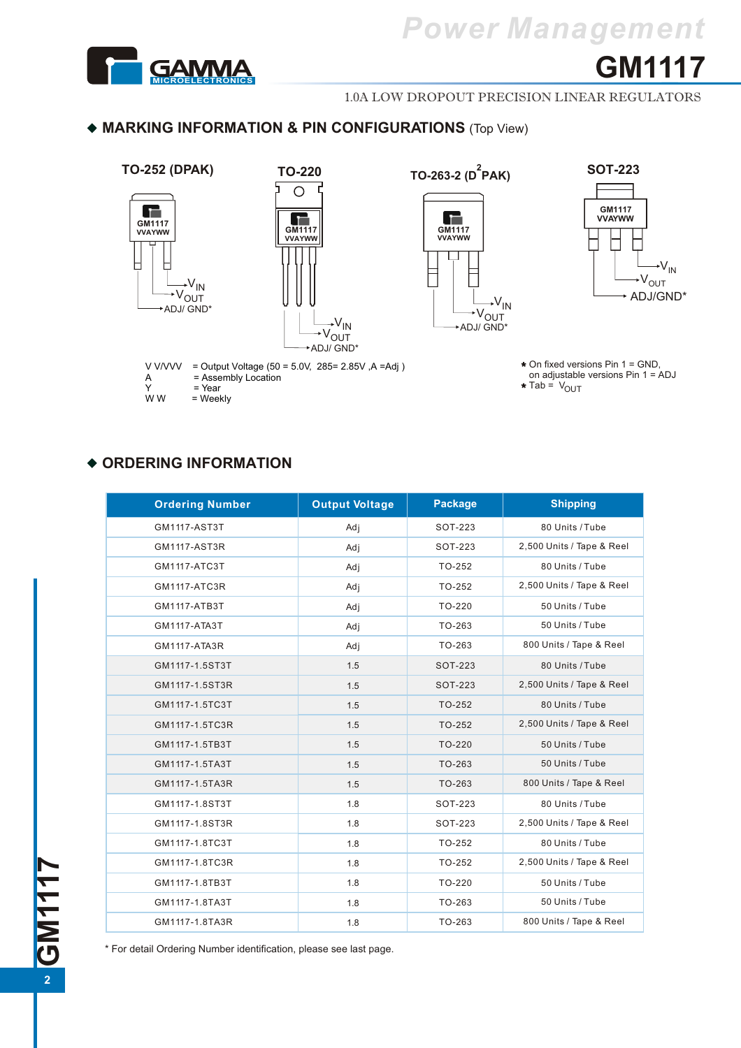

#### 1.0A LOW DROPOUT PRECISION LINEAR REGULATORS

#### **MARKING INFORMATION & PIN CONFIGURATIONS** (Top View)



## **ORDERING INFORMATION**

| <b>Ordering Number</b> | <b>Output Voltage</b> | <b>Package</b>             | <b>Shipping</b>           |  |
|------------------------|-----------------------|----------------------------|---------------------------|--|
| GM1117-AST3T           | Adj                   | SOT-223<br>80 Units / Tube |                           |  |
| GM1117-AST3R           | Adj                   | SOT-223                    | 2,500 Units / Tape & Reel |  |
| GM1117-ATC3T           | Adj                   | TO-252                     | 80 Units / Tube           |  |
| GM1117-ATC3R           | Adj                   | TO-252                     | 2,500 Units / Tape & Reel |  |
| GM1117-ATB3T           | Adj                   | TO-220                     | 50 Units / Tube           |  |
| GM1117-ATA3T           | Adj                   | TO-263                     | 50 Units / Tube           |  |
| GM1117-ATA3R           | Adj                   | TO-263                     | 800 Units / Tape & Reel   |  |
| GM1117-1.5ST3T         | 1.5                   | SOT-223                    | 80 Units / Tube           |  |
| GM1117-1.5ST3R         | 1.5                   | SOT-223                    | 2,500 Units / Tape & Reel |  |
| GM1117-1.5TC3T         | 1.5                   | TO-252                     | 80 Units / Tube           |  |
| GM1117-1.5TC3R         | 1.5                   | TO-252                     | 2,500 Units / Tape & Reel |  |
| GM1117-1.5TB3T         | 1.5                   | TO-220                     | 50 Units / Tube           |  |
| GM1117-1.5TA3T         | 1.5                   | TO-263                     | 50 Units / Tube           |  |
| GM1117-1.5TA3R         | 1.5                   | TO-263                     | 800 Units / Tape & Reel   |  |
| GM1117-1.8ST3T         | 1.8                   | SOT-223                    | 80 Units / Tube           |  |
| GM1117-1.8ST3R         | 1.8                   | SOT-223                    | 2,500 Units / Tape & Reel |  |
| GM1117-1.8TC3T         | 1.8                   | TO-252                     | 80 Units / Tube           |  |
| GM1117-1.8TC3R         | 1.8                   | TO-252                     | 2,500 Units / Tape & Reel |  |
| GM1117-1.8TB3T         | 1.8                   | TO-220                     | 50 Units / Tube           |  |
| GM1117-1.8TA3T         | 1.8                   | TO-263                     | 50 Units / Tube           |  |
| GM1117-1.8TA3R         | 1.8                   | TO-263                     | 800 Units / Tape & Reel   |  |

\* For detail Ordering Number identification, please see last page.

**G2**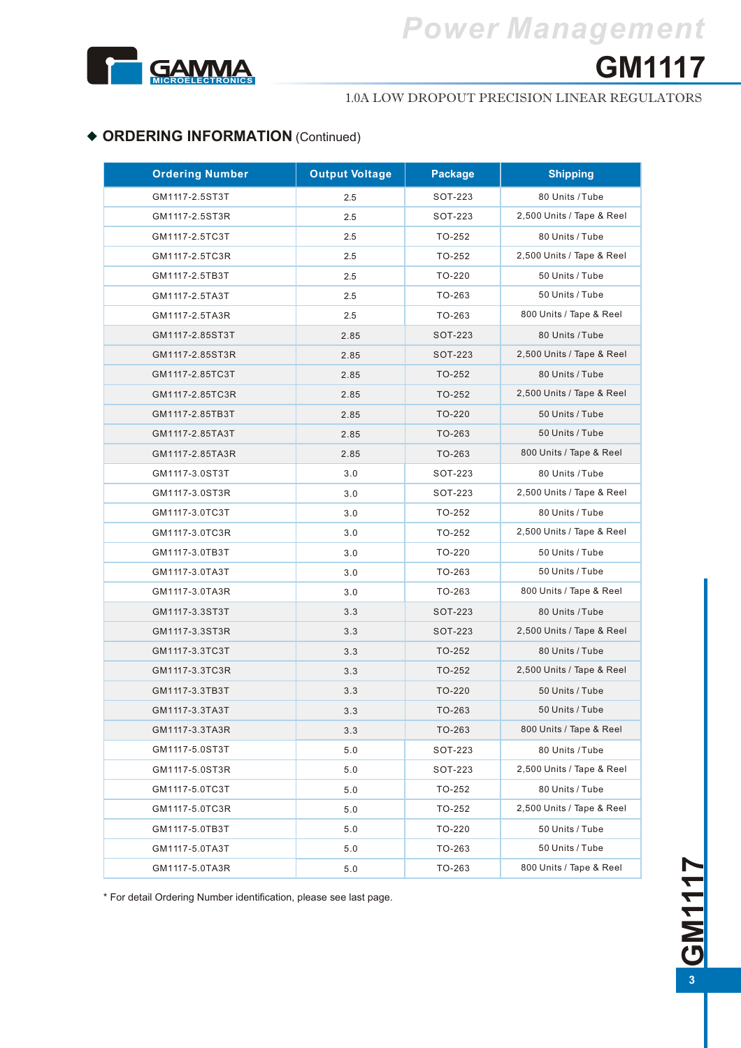

#### 1.0A LOW DROPOUT PRECISION LINEAR REGULATORS

# **ORDERING INFORMATION** (Continued)

| <b>Ordering Number</b> | <b>Output Voltage</b> | <b>Package</b> | <b>Shipping</b>           |  |  |
|------------------------|-----------------------|----------------|---------------------------|--|--|
| GM1117-2.5ST3T         | 2.5                   | SOT-223        | 80 Units / Tube           |  |  |
| GM1117-2.5ST3R         | 2.5                   | SOT-223        | 2,500 Units / Tape & Reel |  |  |
| GM1117-2.5TC3T         | 2.5                   | TO-252         | 80 Units / Tube           |  |  |
| GM1117-2.5TC3R         | 2.5                   | TO-252         | 2,500 Units / Tape & Reel |  |  |
| GM1117-2.5TB3T         | 2.5                   | TO-220         | 50 Units / Tube           |  |  |
| GM1117-2.5TA3T         | 2.5                   | TO-263         | 50 Units / Tube           |  |  |
| GM1117-2.5TA3R         | 2.5                   | TO-263         | 800 Units / Tape & Reel   |  |  |
| GM1117-2.85ST3T        | 2.85                  | SOT-223        | 80 Units / Tube           |  |  |
| GM1117-2.85ST3R        | 2.85                  | SOT-223        | 2,500 Units / Tape & Reel |  |  |
| GM1117-2.85TC3T        | 2.85                  | TO-252         | 80 Units / Tube           |  |  |
| GM1117-2.85TC3R        | 2.85                  | TO-252         | 2,500 Units / Tape & Reel |  |  |
| GM1117-2.85TB3T        | 2.85                  | TO-220         | 50 Units / Tube           |  |  |
| GM1117-2.85TA3T        | 2.85                  | TO-263         | 50 Units / Tube           |  |  |
| GM1117-2.85TA3R        | 2.85                  | TO-263         | 800 Units / Tape & Reel   |  |  |
| GM1117-3.0ST3T         | 3.0                   | SOT-223        | 80 Units / Tube           |  |  |
| GM1117-3.0ST3R         | 3.0                   | SOT-223        | 2,500 Units / Tape & Reel |  |  |
| GM1117-3.0TC3T         | 3.0                   | TO-252         | 80 Units / Tube           |  |  |
| GM1117-3.0TC3R         | 3.0                   | TO-252         | 2,500 Units / Tape & Reel |  |  |
| GM1117-3.0TB3T         | 3.0                   | TO-220         | 50 Units / Tube           |  |  |
| GM1117-3.0TA3T         | 3.0                   | TO-263         | 50 Units / Tube           |  |  |
| GM1117-3.0TA3R         | 3.0                   | TO-263         | 800 Units / Tape & Reel   |  |  |
| GM1117-3.3ST3T         | 3.3                   | SOT-223        | 80 Units / Tube           |  |  |
| GM1117-3.3ST3R         | 3.3                   | SOT-223        | 2,500 Units / Tape & Reel |  |  |
| GM1117-3.3TC3T         | 3.3                   | TO-252         | 80 Units / Tube           |  |  |
| GM1117-3.3TC3R         | 3.3                   | TO-252         | 2,500 Units / Tape & Reel |  |  |
| GM1117-3.3TB3T         | 3.3                   | TO-220         | 50 Units / Tube           |  |  |
| GM1117-3.3TA3T         | 3.3                   | TO-263         | 50 Units / Tube           |  |  |
| GM1117-3.3TA3R         | 3.3                   | TO-263         | 800 Units / Tape & Reel   |  |  |
| GM1117-5.0ST3T         | 5.0                   | SOT-223        | 80 Units / Tube           |  |  |
| GM1117-5.0ST3R         | 5.0                   | SOT-223        | 2,500 Units / Tape & Reel |  |  |
| GM1117-5.0TC3T         | 5.0                   | TO-252         | 80 Units / Tube           |  |  |
| GM1117-5.0TC3R         | 5.0                   | TO-252         | 2,500 Units / Tape & Reel |  |  |
| GM1117-5.0TB3T         | 5.0                   | TO-220         | 50 Units / Tube           |  |  |
| GM1117-5.0TA3T         | 5.0                   | TO-263         | 50 Units / Tube           |  |  |
| GM1117-5.0TA3R         | $5.0$                 | TO-263         | 800 Units / Tape & Reel   |  |  |

\* For detail Ordering Number identification, please see last page.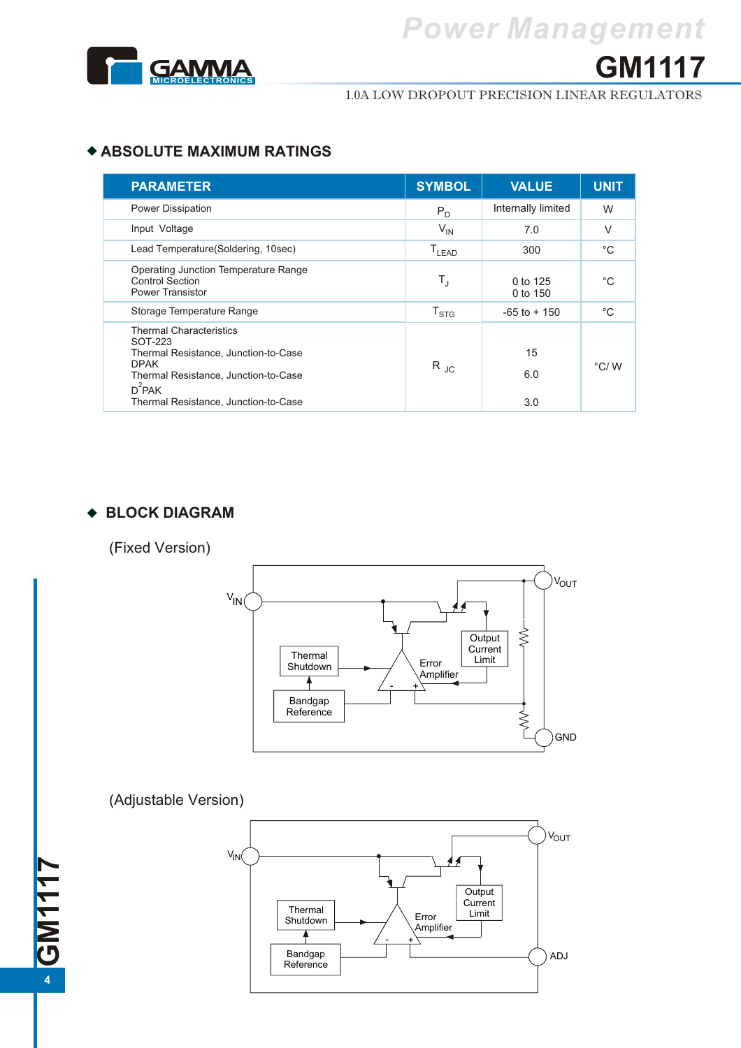

1.0A LOW DROPOUT PRECISION LINEAR REGULATORS

## **ABSOLUTE MAXIMUM RATINGS**

| <b>PARAMETER</b>                                                                                                                                                                              | <b>SYMBOL</b>                | <b>VALUE</b>         | <b>UNIT</b>   |
|-----------------------------------------------------------------------------------------------------------------------------------------------------------------------------------------------|------------------------------|----------------------|---------------|
| <b>Power Dissipation</b>                                                                                                                                                                      | $P_D$                        | Internally limited   | W             |
| Input Voltage                                                                                                                                                                                 | $V_{\text{IN}}$              | 7.0                  | $\vee$        |
| Lead Temperature(Soldering, 10sec)                                                                                                                                                            | $\mathsf{T}_{\mathsf{LEAD}}$ | 300                  | $^{\circ}C$   |
| Operating Junction Temperature Range<br><b>Control Section</b><br><b>Power Transistor</b>                                                                                                     | $T_{\rm J}$                  | 0 to 125<br>0 to 150 | $^{\circ}C$   |
| Storage Temperature Range                                                                                                                                                                     | $\mathsf{T}_{\text{STG}}$    | $-65$ to $+150$      | $^{\circ}C$   |
| <b>Thermal Characteristics</b><br>SOT-223<br>Thermal Resistance, Junction-to-Case<br><b>DPAK</b><br>Thermal Resistance, Junction-to-Case<br>$D^2$ PAK<br>Thermal Resistance, Junction-to-Case | $R_{JC}$                     | 15<br>6.0<br>3.0     | $\degree$ C/W |

# **BLOCK DIAGRAM**

(Fixed Version)



# (Adjustable Version)

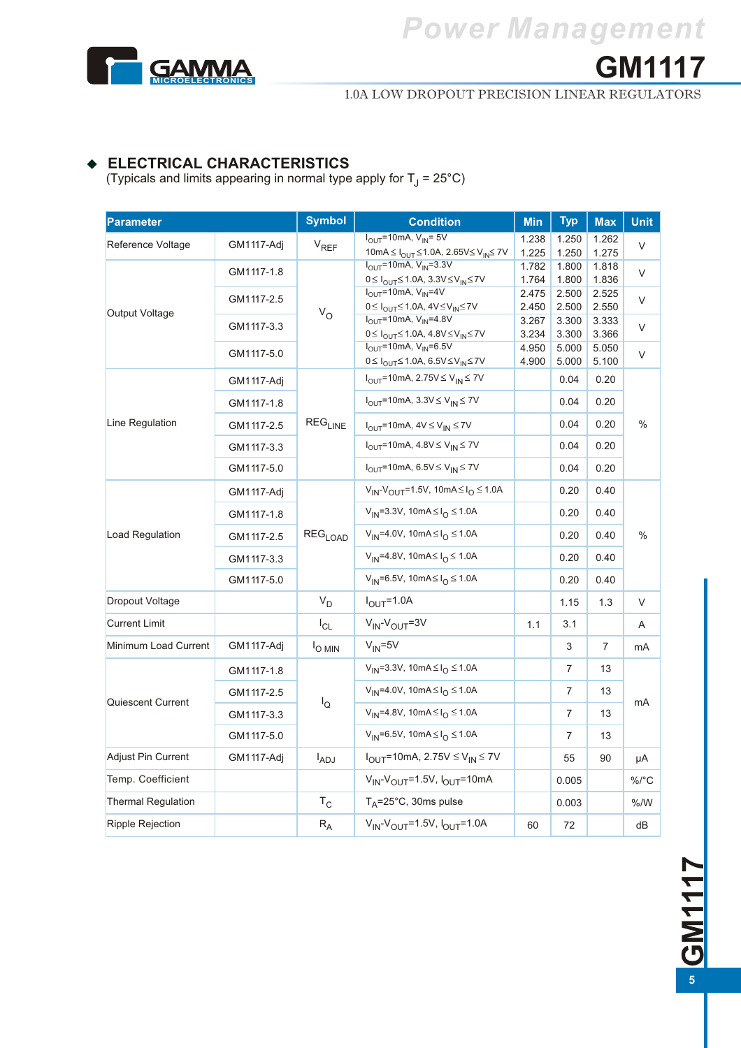

#### 1.0A LOW DROPOUT PRECISION LINEAR REGULATORS

# **ELECTRICAL CHARACTERISTICS**

(Typicals and limits appearing in normal type apply for  $T_J = 25^{\circ}C$ )

| <b>Parameter</b>          |            | <b>Symbol</b>                  | <b>Condition</b>                                                                                       | <b>Min</b>     | <b>Typ</b>     | <b>Max</b>     | <b>Unit</b>   |
|---------------------------|------------|--------------------------------|--------------------------------------------------------------------------------------------------------|----------------|----------------|----------------|---------------|
| Reference Voltage         | GM1117-Adj | $V_{REF}$                      | $I_{\text{OUT}}$ =10mA, $V_{\text{IN}}$ = 5V                                                           | 1.238          | 1.250          | 1.262          | V             |
|                           |            |                                | 10mA $\leq I_{\text{OUT}} \leq 1.0$ A, 2.65V $\leq$ V <sub>IN</sub> $\leq$ 7V<br>$IOUT=10mA, VIN=3.3V$ | 1.225          | 1.250          | 1.275          |               |
|                           | GM1117-1.8 | $V_{\rm O}$                    | $0 \leq I_{\text{OUT}}$ ≤ 1.0A, 3.3V ≤ V <sub>IN</sub> ≤ 7V                                            | 1.782<br>1.764 | 1.800<br>1.800 | 1.818<br>1.836 | $\vee$        |
|                           |            |                                | $I_{\text{OUT}}$ =10mA, $V_{\text{IN}}$ =4V                                                            | 2.475          | 2.500          | 2.525          |               |
|                           | GM1117-2.5 |                                | $0 \leq I_{\text{OUT}} \leq 1.0$ A, $4V \leq V_{\text{IN}} \leq 7V$                                    | 2.450          | 2.500          | 2.550          | V             |
| Output Voltage            | GM1117-3.3 |                                | $IOUT=10mA, VIN=4.8V$                                                                                  | 3.267          | 3.300          | 3.333          | V             |
|                           |            |                                | $0 \leq I_{\text{OUT}} \leq 1.0$ A, 4.8V $\leq$ V <sub>IN</sub> $\leq$ 7V                              | 3.234          | 3.300          | 3.366          |               |
|                           | GM1117-5.0 |                                | $IOUT=10mA, VIN=6.5V$                                                                                  | 4.950          | 5.000          | 5.050          | V             |
|                           |            |                                | $0 \leq I_{\text{OUT}} \leq 1.0$ A, 6.5V $\leq$ V <sub>IN</sub> $\leq$ 7V                              | 4.900          | 5.000          | 5.100          |               |
| Line Regulation           | GM1117-Adj | $\mathsf{REG}_{\mathsf{LINE}}$ | $I_{OUT}$ =10mA, 2.75V $\leq$ V <sub>IN</sub> $\leq$ 7V                                                |                | 0.04           | 0.20           | $\frac{0}{0}$ |
|                           | GM1117-1.8 |                                | $I_{\text{OUT}}$ =10mA, 3.3V $\leq$ V <sub>IN</sub> $\leq$ 7V                                          |                | 0.04           | 0.20           |               |
|                           | GM1117-2.5 |                                | $I_{\text{OUT}}$ =10mA, $4V \le V_{\text{IN}} \le 7V$                                                  |                | 0.04           | 0.20           |               |
|                           | GM1117-3.3 |                                | $I_{OUT}$ =10mA, 4.8V $\leq$ V <sub>IN</sub> $\leq$ 7V                                                 |                | 0.04           | 0.20           |               |
|                           | GM1117-5.0 |                                | $I_{\text{OUT}}$ =10mA, 6.5V $\leq$ V <sub>IN</sub> $\leq$ 7V                                          |                | 0.04           | 0.20           |               |
|                           | GM1117-Adj |                                | $V_{IN}$ - $V_{OUIT}$ =1.5V, 10mA $\leq$ I <sub>O</sub> $\leq$ 1.0A                                    |                | 0.20           | 0.40           | $\frac{0}{0}$ |
| Load Regulation           | GM1117-1.8 | $\mathsf{REG}_{\mathsf{LOAD}}$ | $V_{IN}$ =3.3V, 10mA ≤ I <sub>O</sub> ≤ 1.0A                                                           |                | 0.20           | 0.40           |               |
|                           | GM1117-2.5 |                                | $V_{IN} = 4.0 V$ , 10mA $\leq I_{O} \leq 1.0 A$                                                        |                | 0.20           | 0.40           |               |
|                           | GM1117-3.3 |                                | $V_{IN}$ =4.8V, 10mA≤ $I_{O}$ ≤ 1.0A                                                                   |                | 0.20           | 0.40           |               |
|                           | GM1117-5.0 |                                | $V_{1N}$ =6.5V, 10mA≤ $I_{O}$ ≤ 1.0A                                                                   |                | 0.20           | 0.40           |               |
| <b>Dropout Voltage</b>    |            | $V_D$                          | $I_{\text{OUT}}$ =1.0A                                                                                 |                | 1.15           | 1.3            | V             |
| <b>Current Limit</b>      |            | $I_{CL}$                       | $V_{IN}$ - $V_{OUT}$ =3V                                                                               | 1.1            | 3.1            |                | A             |
| Minimum Load Current      | GM1117-Adj | $I_{\text{O}$ MIN              | $V_{IN} = 5V$                                                                                          |                | 3              | $\overline{7}$ | mA            |
|                           | GM1117-1.8 | $I_{\mathsf{Q}}$               | $V_{IN}$ =3.3V, 10mA ≤ I <sub>O</sub> ≤ 1.0A                                                           |                | $\overline{7}$ | 13             | mA            |
| Quiescent Current         | GM1117-2.5 |                                | $V_{1N}$ =4.0V, 10mA $\leq$ I <sub>O</sub> $\leq$ 1.0A                                                 |                | $\overline{7}$ | 13             |               |
|                           | GM1117-3.3 |                                | $V_{1N}$ =4.8V, 10mA $\leq I_{0} \leq 1.0$ A                                                           |                | $\overline{7}$ | 13             |               |
|                           | GM1117-5.0 |                                | $V_{1N}$ =6.5V, 10mA ≤ I <sub>O</sub> ≤ 1.0A                                                           |                | $\overline{7}$ | 13             |               |
| <b>Adjust Pin Current</b> | GM1117-Adj | $I_{ADJ}$                      | $I_{\text{OUT}}$ =10mA, 2.75V $\leq$ V <sub>IN</sub> $\leq$ 7V                                         |                | 55             | 90             | μA            |
| Temp. Coefficient         |            |                                | $V_{IN}$ - $V_{OUT}$ =1.5V, $I_{OUT}$ =10mA                                                            |                | 0.005          |                | $\%$ /°C      |
| <b>Thermal Regulation</b> |            | $T_{\rm C}$                    | $T_A = 25^\circ \text{C}$ , 30ms pulse                                                                 |                | 0.003          |                | % /W          |
| <b>Ripple Rejection</b>   |            | $R_{A}$                        | $V_{IN}$ - $V_{OUIT}$ =1.5V, $I_{OUIT}$ =1.0A                                                          | 60             | 72             |                | dB            |

**GM1117**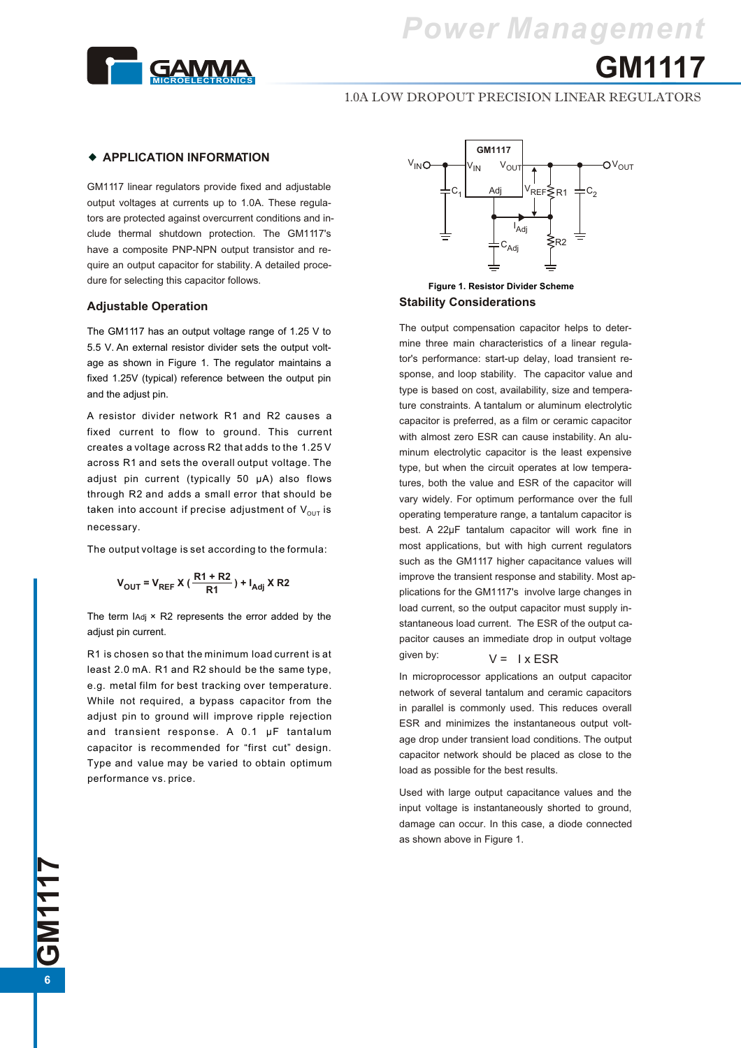

#### 1.0A LOW DROPOUT PRECISION LINEAR REGULATORS

#### **APPLICATION INFORMATION**

GM1117 linear regulators provide fixed and adjustable output voltages at currents up to 1.0A. These regulators are protected against overcurrent conditions and include thermal shutdown protection. The GM1117's have a composite PNP-NPN output transistor and require an output capacitor for stability. A detailed procedure for selecting this capacitor follows.

#### **Adjustable Operation**

The GM1117 has an output voltage range of 1.25 V to 5.5 V. An external resistor divider sets the output voltage as shown in Figure 1. The regulator maintains a fixed 1.25V (typical) reference between the output pin and the adjust pin.

A resistor divider network R1 and R2 causes a fixed current to flow to ground. This current creates a voltage across R2 that adds to the 1.25 V across R1 and sets the overall output voltage. The adjust pin current (typically 50 µA) also flows through R2 and adds a small error that should be taken into account if precise adjustment of  $V_{OUT}$  is necessary.

The output voltage is set according to the formula:

$$
V_{OUT} = V_{REF} X (\frac{R1 + R2}{R1}) + I_{Adj} X R2
$$

The term  $I_{\text{Adj}} \times R2$  represents the error added by the adjust pin current.

R1 is chosen so that the minimum load current is at least 2.0 mA. R1 and R2 should be the same type, e.g. metal film for best tracking over temperature. While not required, a bypass capacitor from the adjust pin to ground will improve ripple rejection and transient response. A 0.1 µF tantalum capacitor is recommended for "first cut" design. Type and value may be varied to obtain optimum performance vs. price.



#### **Stability Considerations Figure 1. Resistor Divider Scheme**

The output compensation capacitor helps to determine three main characteristics of a linear regulator's performance: start-up delay, load transient response, and loop stability. The capacitor value and type is based on cost, availability, size and temperature constraints. A tantalum or aluminum electrolytic capacitor is preferred, as a film or ceramic capacitor with almost zero ESR can cause instability. An aluminum electrolytic capacitor is the least expensive type, but when the circuit operates at low temperatures, both the value and ESR of the capacitor will vary widely. For optimum performance over the full operating temperature range, a tantalum capacitor is best. A 22µF tantalum capacitor will work fine in most applications, but with high current regulators such as the GM1117 higher capacitance values will improve the transient response and stability. Most applications for the GM1117's involve large changes in load current, so the output capacitor must supply instantaneous load current. The ESR of the output capacitor causes an immediate drop in output voltage given by:  $V = I x ESR$ 

In microprocessor applications an output capacitor network of several tantalum and ceramic capacitors in parallel is commonly used. This reduces overall ESR and minimizes the instantaneous output voltage drop under transient load conditions. The output capacitor network should be placed as close to the load as possible for the best results.

Used with large output capacitance values and the input voltage is instantaneously shorted to ground, damage can occur. In this case, a diode connected as shown above in Figure 1.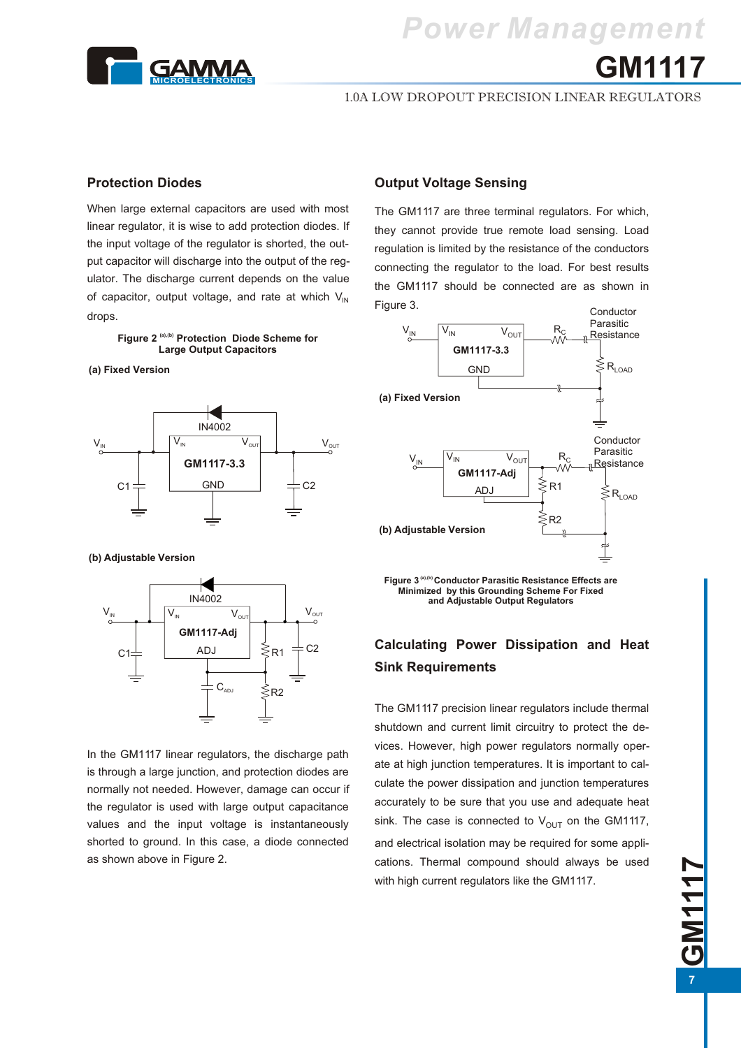

**AICS GM1117** *Power Management*

1.0A LOW DROPOUT PRECISION LINEAR REGULATORS

#### **Protection Diodes**

When large external capacitors are used with most linear regulator, it is wise to add protection diodes. If the input voltage of the regulator is shorted, the output capacitor will discharge into the output of the regulator. The discharge current depends on the value of capacitor, output voltage, and rate at which  $V_{\text{in}}$ drops.

> Figure 2<sup>(a),(b)</sup> Protection Diode Scheme for **Large Output Capacitors**

**(a) Fixed Version**



**(b) Adjustable Version** 



In the GM1117 linear regulators, the discharge path is through a large junction, and protection diodes are normally not needed. However, damage can occur if the regulator is used with large output capacitance values and the input voltage is instantaneously shorted to ground. In this case, a diode connected as shown above in Figure 2.

#### **Output Voltage Sensing**

The GM1117 are three terminal regulators. For which, they cannot provide true remote load sensing. Load regulation is limited by the resistance of the conductors connecting the regulator to the load. For best results the GM1117 should be connected are as shown in Figure 3.



 **(a),(b) Figure 3 Conductor Parasitic Resistance Effects are Minimized by this Grounding Scheme For Fixed and Adjustable Output Regulators** 

# **Calculating Power Dissipation and Heat Sink Requirements**

The GM1117 precision linear regulators include thermal shutdown and current limit circuitry to protect the devices. However, high power regulators normally operate at high junction temperatures. It is important to calculate the power dissipation and junction temperatures accurately to be sure that you use and adequate heat sink. The case is connected to  $V_{\text{OUT}}$  on the GM1117, and electrical isolation may be required for some applications. Thermal compound should always be used with high current regulators like the GM1117.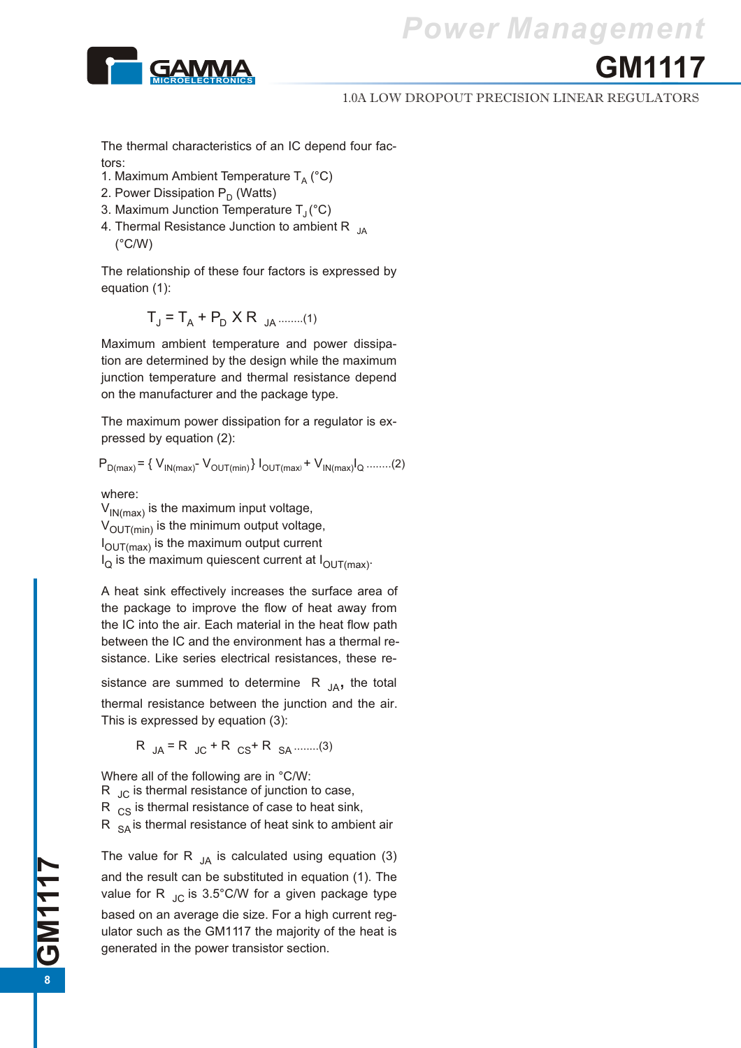

#### 1.0A LOW DROPOUT PRECISION LINEAR REGULATORS

The thermal characteristics of an IC depend four factors:

- 1. Maximum Ambient Temperature  $T_A (°C)$
- 2. Power Dissipation  $P_D$  (Watts)
- 3. Maximum Junction Temperature  $T_J(^{\circ}C)$
- 4. Thermal Resistance Junction to ambient R  $_{10}$  $(^{\circ}C/W)$

The relationship of these four factors is expressed by equation (1):

$$
T_J = T_A + P_D \times R_{JA
$$
......(1)

Maximum ambient temperature and power dissipation are determined by the design while the maximum junction temperature and thermal resistance depend on the manufacturer and the package type.

The maximum power dissipation for a regulator is expressed by equation (2):

 $P_{D(max)} = \{ V_{IN(max)} \cdot V_{OUT(min)} \} I_{OUT(max)} + V_{IN(max)} I_{Q} \dots (2)$ 

where:

 $V_{\text{IN(max)}}$  is the maximum input voltage,  $V_{\text{OUT}(min)}$  is the minimum output voltage,  $I_{\text{OUT(max)}}$  is the maximum output current  $I_{\Omega}$  is the maximum quiescent current at  $I_{\text{OUT(max)}}$ .

A heat sink effectively increases the surface area of the package to improve the flow of heat away from the IC into the air. Each material in the heat flow path between the IC and the environment has a thermal resistance. Like series electrical resistances, these re-

sistance are summed to determine  $R_{JA}$ , the total thermal resistance between the junction and the air. This is expressed by equation (3):

 $R_{\text{JA}} = R_{\text{JC}} + R_{\text{CS}} + R_{\text{SA}}$  ........(3)

Where all of the following are in °C/W:  $R_{\cup C}$  is thermal resistance of junction to case,  $R_{CS}$  is thermal resistance of case to heat sink,  $R_{SA}$  is thermal resistance of heat sink to ambient air

The value for R  $_{IA}$  is calculated using equation (3) and the result can be substituted in equation (1). The value for R  $_{\rm JC}$  is 3.5°C/W for a given package type based on an average die size. For a high current regulator such as the GM1117 the majority of the heat is generated in the power transistor section.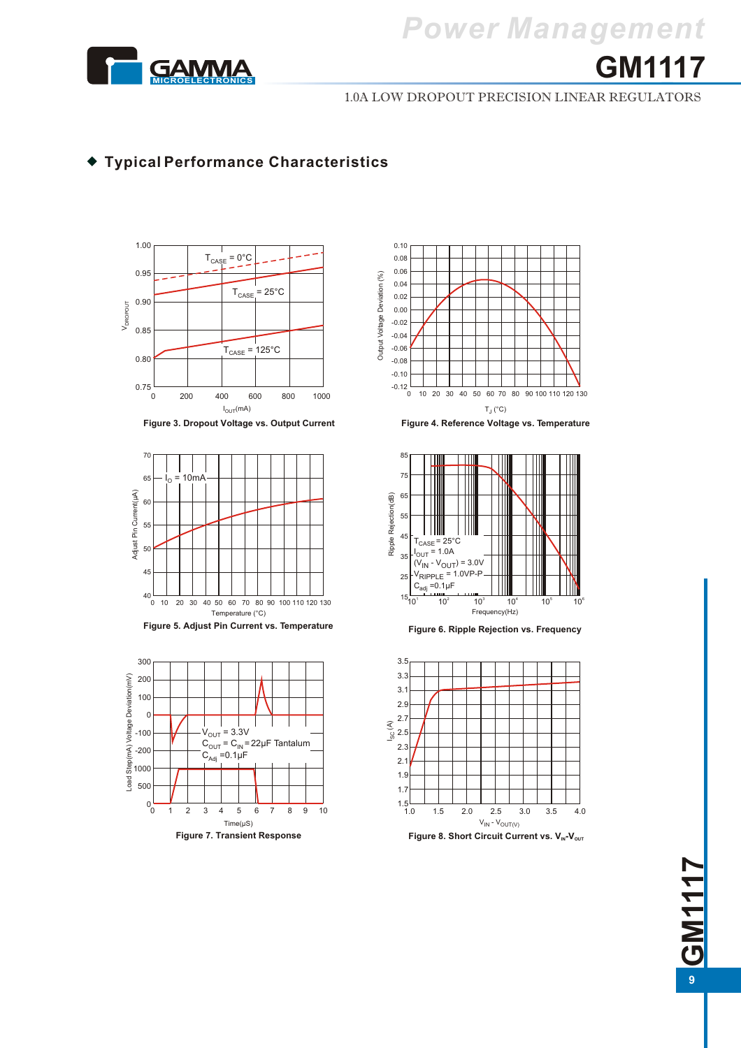

# *Power Management*

# **AICS GM1117**

#### 1.0A LOW DROPOUT PRECISION LINEAR REGULATORS

# **Typical Performance Characteristics**



















# **GM1117**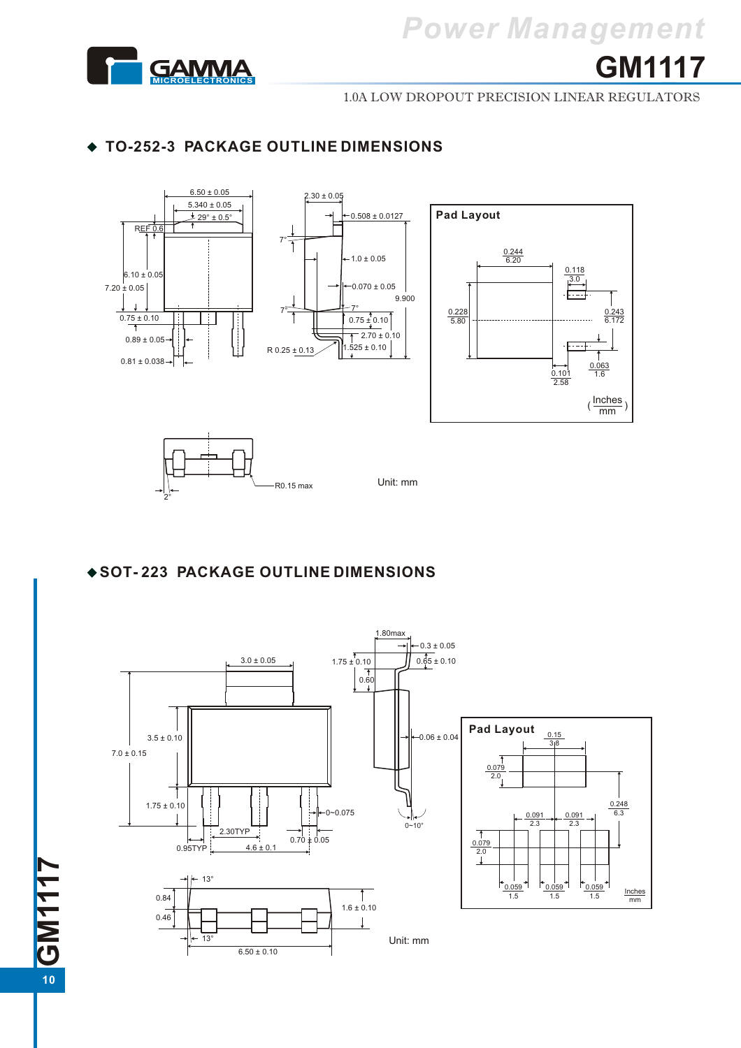

1.0A LOW DROPOUT PRECISION LINEAR REGULATORS

# **TO-252-3 PACKAGE OUTLINE DIMENSIONS**



**SOT- 223 PACKAGE OUTLINE DIMENSIONS** 

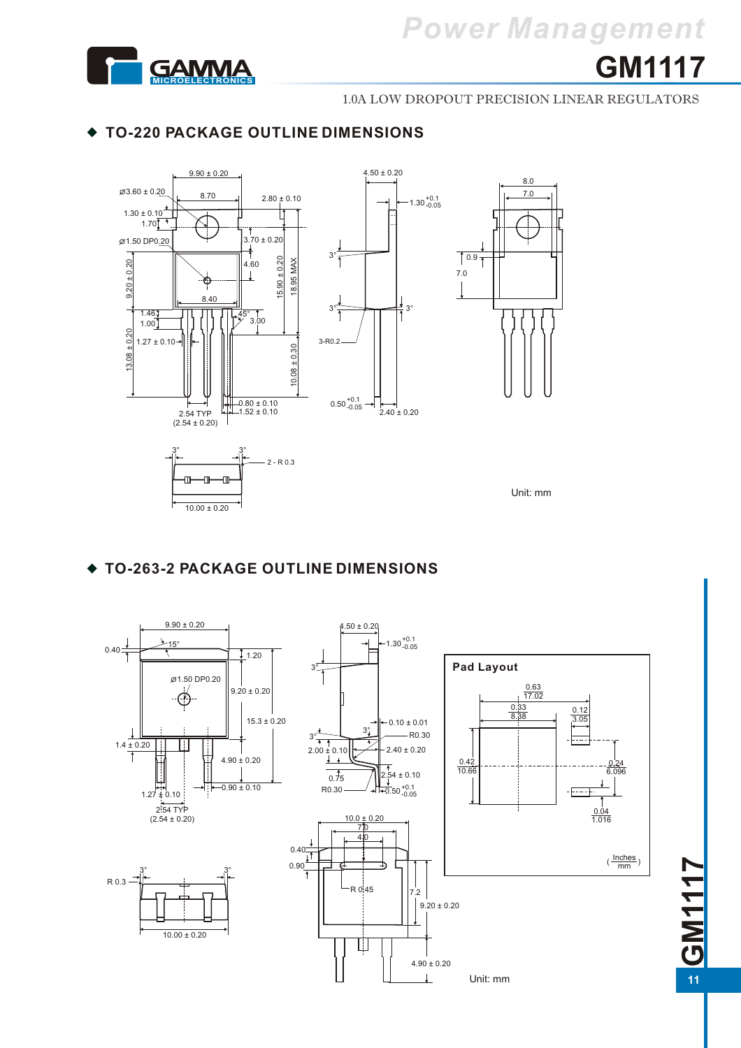



1.0A LOW DROPOUT PRECISION LINEAR REGULATORS

## **TO-220 PACKAGE OUTLINE DIMENSIONS**



## **TO-263-2 PACKAGE OUTLINE DIMENSIONS**



**GM111**

**11**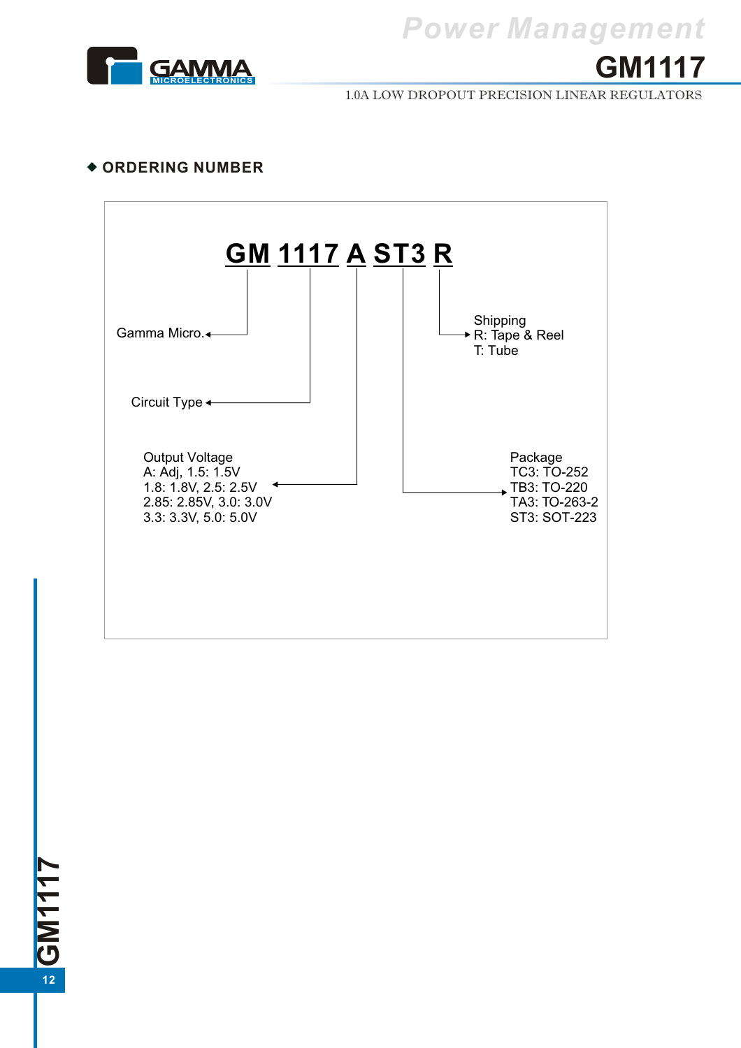



1.0A LOW DROPOUT PRECISION LINEAR REGULATORS

### **ORDERING NUMBER**